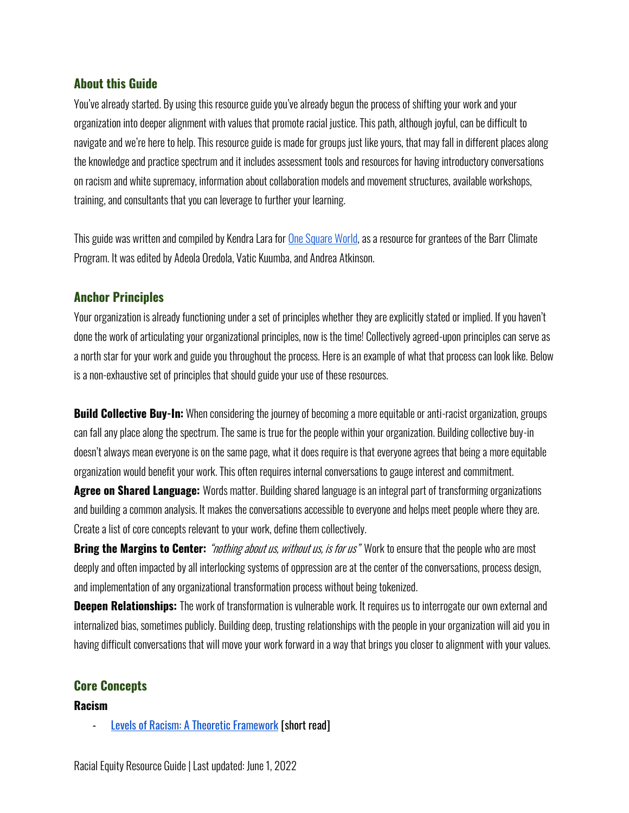## **About this Guide**

You've already started. By using this resource guide you've already begun the process of shifting your work and your organization into deeper alignment with values that promote racial justice. This path, although joyful, can be difficult to navigate and we're here to help. This resource guide is made for groups just like yours, that may fall in different places along the knowledge and practice spectrum and it includes assessment tools and resources for having introductory conversations on racism and white supremacy, information about collaboration models and movement structures, available workshops, training, and consultants that you can leverage to further your learning.

This guide was written and compiled by Kendra Lara fo[r One Square World,](http://www.onesquareworld.org/) as a resource for grantees of the Barr Climate Program. It was edited by Adeola Oredola, Vatic Kuumba, and Andrea Atkinson.

## **Anchor Principles**

Your organization is already functioning under a set of principles whether they are explicitly stated or implied. If you haven't done the work of articulating your organizational principles, now is the time! Collectively agreed-upon principles can serve as a north star for your work and guide you throughout the process. Here is an example of what that process can look like. Below is a non-exhaustive set of principles that should guide your use of these resources.

**Build Collective Buy-In:** When considering the journey of becoming a more equitable or anti-racist organization, groups can fall any place along the spectrum. The same is true for the people within your organization. Building collective buy-in doesn't always mean everyone is on the same page, what it does require is that everyone agrees that being a more equitable organization would benefit your work. This often requires internal conversations to gauge interest and commitment.

**Agree on Shared Language:** Words matter. Building shared language is an integral part of transforming organizations and building a common analysis. It makes the conversations accessible to everyone and helps meet people where they are. Create a list of core concepts relevant to your work, define them collectively.

**Bring the Margins to Center:** "*nothing about us, without us, is for us*" Work to ensure that the people who are most deeply and often impacted by all interlocking systems of oppression are at the center of the conversations, process design, and implementation of any organizational transformation process without being tokenized.

**Deepen Relationships:** The work of transformation is vulnerable work. It requires us to interrogate our own external and internalized bias, sometimes publicly. Building deep, trusting relationships with the people in your organization will aid you in having difficult conversations that will move your work forward in a way that brings you closer to alignment with your values.

## **Core Concepts**

### **Racism**

**[Levels of Racism: A Theoretic Framework](https://ajph.aphapublications.org/doi/pdf/10.2105/AJPH.90.8.1212) [short read]**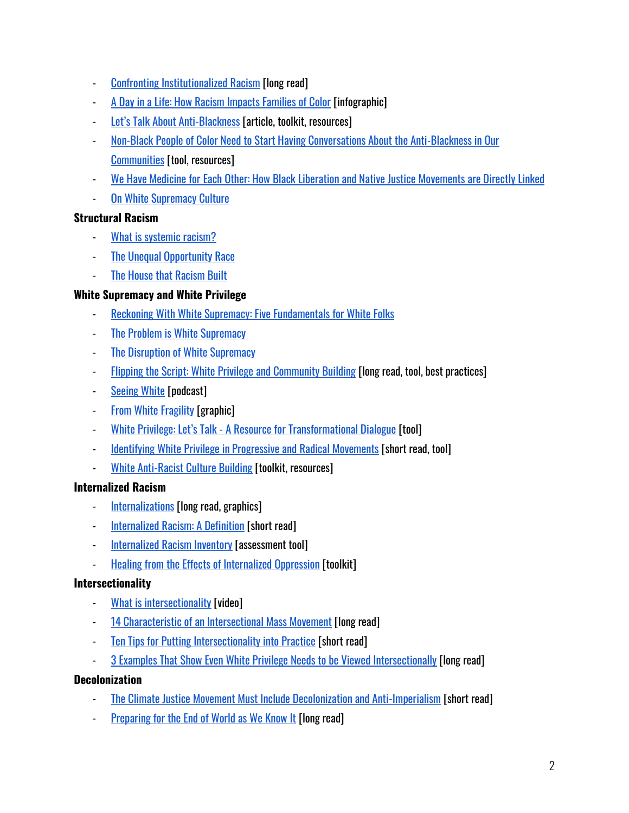- **[Confronting Institutionalized Racism](https://drive.google.com/file/d/1RopPZLaAgfY0fLeZeTa7S2yys2aWHVAX/view) [long read]**
- [A Day in a Life: How Racism Impacts Families of Color](https://medium.com/@Living_Cities/a-day-in-a-life-how-racism-impacts-families-of-color-infographic-963354857dce) [infographic]
- [Let's Talk About Anti](https://www.yesmagazine.org/education/2020/04/07/lets-talk-about-anti-blackness)-Blackness [article, toolkit, resources]
- Non-Black People of Color Need to Start Having Conversations About the Anti-Blackness in Our [Communities](https://www.dosomething.org/us/articles/our-role-as-non-black-people-of-color-in-disrupting-racism) [tool, resources]
- [We Have Medicine for Each Other: How Black Liberation and Native Justice Movements are Directly Linked](https://illuminatives.org/illuminative-on-air-podcast/)
- **[On White Supremacy Culture](https://surjpoliticaledsite.weebly.com/white-supremacy-culture.html)**

### **Structural Racism**

- [What is systemic racism?](https://www.raceforward.org/videos/systemic-racism)
- **[The Unequal Opportunity Race](https://www.youtube.com/watch?v=vX_Vzl-r8NY)**
- **[The House that Racism Built](https://urbanhealth.jhu.edu/_PDFs/Williams_PPT_The_House_that_Racism_Built_4-25-16.pdf)**

# **White Supremacy and White Privilege**

- **[Reckoning With White Supremacy: Five Fundamentals for White Folks](https://scalawagmagazine.org/2020/06/understanding-white-supremacy-protests/)**
- **[The Problem is White Supremacy](https://www.bostonglobe.com/2020/06/29/opinion/problem-is-white-supremacy/)**
- **[The Disruption of White Supremacy](https://www.yesmagazine.org/issue/decolonize/opinion/2018/02/28/the-disruption-of-white-supremacy)**
- **Filipping the Script: White Privilege and Community Building [long read, tool, best practices]**
- [Seeing White](https://www.sceneonradio.org/seeing-white/) [podcast]
- **[From White Fragility](https://drive.google.com/file/d/1BXwNaEpVPOPt4ryNlG29JCCHUy6ayAJ8/view) [graphic]**
- White Privilege: Let's Talk [A Resource for Transformational Dialogue](http://privilege.uccpages.org/) [tool]
- **IDENTIFY 1.1 In Privilly 1.1 Institute Privilege in Progressive and Radical Movements [short read, tool]**
- **[White Anti-Racist Culture Building](https://www.awarela.org/toolkit) [toolkit, resources]**

## **Internalized Racism**

- **[Internalizations](https://www.dismantlingracism.org/internalizations.html) (long read, graphics)**
- [Internalized Racism: A Definition](https://drive.google.com/file/d/1qJA73qwdrxQ6THTkYY5q8raqwlooVS_5/view) [short read]
- **[Internalized Racism Inventory](https://culturalbridgestojustice.org/internalized-racism-inventory/) [assessment tool]**
- **[Healing from the Effects of Internalized Oppression](https://ctb.ku.edu/en/table-of-contents/culture/cultural-competence/healing-from-interalized-oppression/main) [toolkit]**

## **Intersectionality**

- **[What is intersectionality](https://www.youtube.com/watch?v=ViDtnfQ9FHc) [video]**
- [14 Characteristic of an Intersectional Mass Movement](https://organizingchange.org/14-intersectional-movement-characteristics/) [long read]
- **[Ten Tips for Putting Intersectionality into Practice](https://www.opportunityagenda.org/explore/resources-publications/ten-tips-putting-intersectionality-practice) [short read]**
- [3 Examples That Show Even White Privilege Needs to be Viewed Intersectionally](https://everydayfeminism.com/2016/01/white-privilege-intersectional/) [long read]

## **Decolonization**

- [The Climate Justice Movement Must Include Decolonization and Anti-Imperialism](https://truthout.org/articles/indigenous-climate-activists-across-the-world-are-being-imprisoned-and-murdered/) [short read]
- **[Preparing for the End of World as We Know It](https://decolonialfutures.net/portfolio/preparing-for-the-end-of-the-world-as-we-know-it/) [long read]**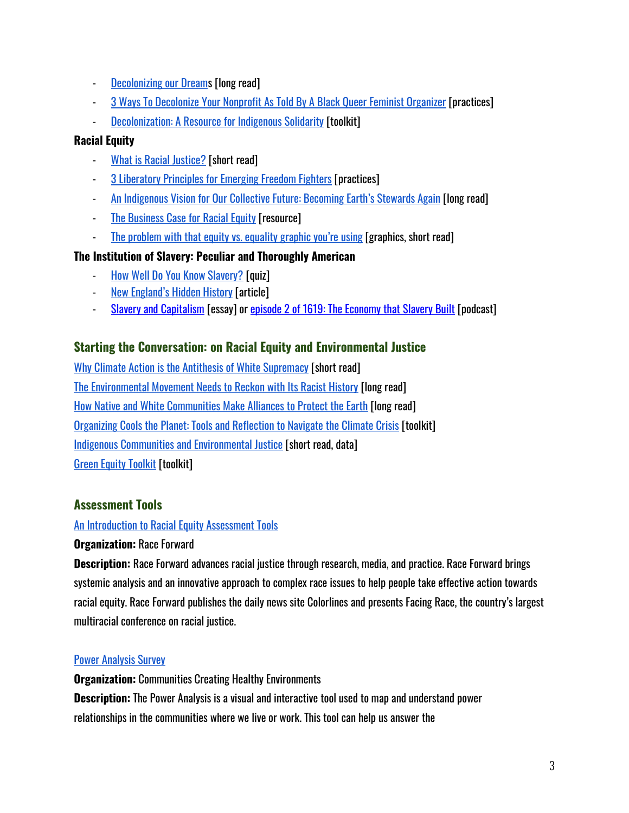- [Decolonizing our Dreams](https://unsettlingamerica.wordpress.com/) [long read]
- [3 Ways To Decolonize Your Nonprofit As Told By A Black Queer Feminist Organizer](https://everydayfeminism.com/2018/05/decolonizing-nonprofits/) [practices]
- [Decolonization: A Resource for Indigenous Solidarity](https://www.annasoole.com/single-post/2018/04/03/Decolonization-A-Resource-for-Indigenous-Solidarity) [toolkit]

## **Racial Equity**

- [What is Racial Justice?](https://www.racefiles.com/2013/07/11/what-is-racial-justice/) [short read]
- **[3 Liberatory Principles for Emerging](https://www.colorlines.com/articles/3-liberatory-principles-emerging-freedom-fighters) Freedom Fighters [practices]**
- [An Indigenous Vision for Our Collective Future: Becoming Earth's Stewards Again](https://nonprofitquarterly.org/an-indigenous-vision-for-our-collective-future-becoming-earths-stewards-again/) [long read]
- **[The Business Case for Racial Equity](https://drive.google.com/file/d/1cOr-gmciSHoAtgytOhOqVscR_rJUL4tC/view) [resource]**
- The problem with that [equity vs. equality graphic you're using](https://culturalorganizing.org/the-problem-with-that-equity-vs-equality-graphic/) [graphics, short read]

# **The Institution of Slavery: Peculiar and Thoroughly American**

- [How Well Do You Know Slavery?](https://www.washingtonpost.com/test-your-knowledge-on-the-history-of-us-slavery/96b42b72-6540-45d1-af88-f297c81afa3c_quiz.html) [quiz]
- [New England's Hidden History](http://archive.boston.com/bostonglobe/ideas/articles/2010/09/26/new_englands_hidden_history/) [article]
- [Slavery and Capitalism](https://www.nytimes.com/interactive/2019/08/14/magazine/slavery-capitalism.html?mtrref=undefined&gwh=B72B3B4377E5F927CC1816CC37E13BB1) [essay] or [episode 2 of 1619: The Economy that Slavery Built](https://www.nytimes.com/2019/08/30/podcasts/1619-slavery-cotton-capitalism.html?action=click&module=audio-series-bar®ion=header&pgtype=Article) [podcast]

# **Starting the Conversation: on Racial Equity and Environmental Justice**

[Why Climate Action is the Antithesis of White Supremacy](https://portside.org/2019-03-19/why-climate-action-antithesis-white-supremacy) [short read] [The Environmental Movement Needs to Reckon with Its Racist History](https://www.vice.com/en/article/bjwvn8/the-environmental-movement-needs-to-reckon-with-its-racist-history) [long read] [How Native and White Communities Make Alliances to Protect the Earth](https://www.yesmagazine.org/issue/good-money/2018/12/20/how-native-and-white-communities-make-alliances-to-protect-the-earth) [long read] [Organizing Cools the Planet: Tools and Reflection to Navigate the Climate Crisis](https://organizingcoolstheplanet.wordpress.com/) [toolkit] [Indigenous Communities and Environmental Justice](https://nonprofitquarterly.org/indigenous-communities-and-environmental-justice/) [short read, data] [Green Equity Toolkit](https://drive.google.com/file/d/1MOdnis-8q8xdG9Mz0l4v9f8dZ_cJDsrT/view) [toolkit]

# **Assessment Tools**

# [An Introduction to Racial Equity](https://racc.org/wp-content/uploads/2015/12/An-Introduction-to-Racial-Equity-Assessment-Tools.pdf) Assessment Tools

## **Organization:** Race Forward

**Description:** Race Forward advances racial justice through research, media, and practice. Race Forward brings systemic analysis and an innovative approach to complex race issues to help people take effective action towards racial equity. Race Forward publishes the daily news site Colorlines and presents Facing Race, the country's largest multiracial conference on racial justice.

# [Power Analysis Survey](http://mccunefoundation.org/wp-content/uploads/2013/05/Power-analysis.pdf)

**Organization:** Communities Creating Healthy Environments **Description:** The Power Analysis is a visual and interactive tool used to map and understand power relationships in the communities where we live or work. This tool can help us answer the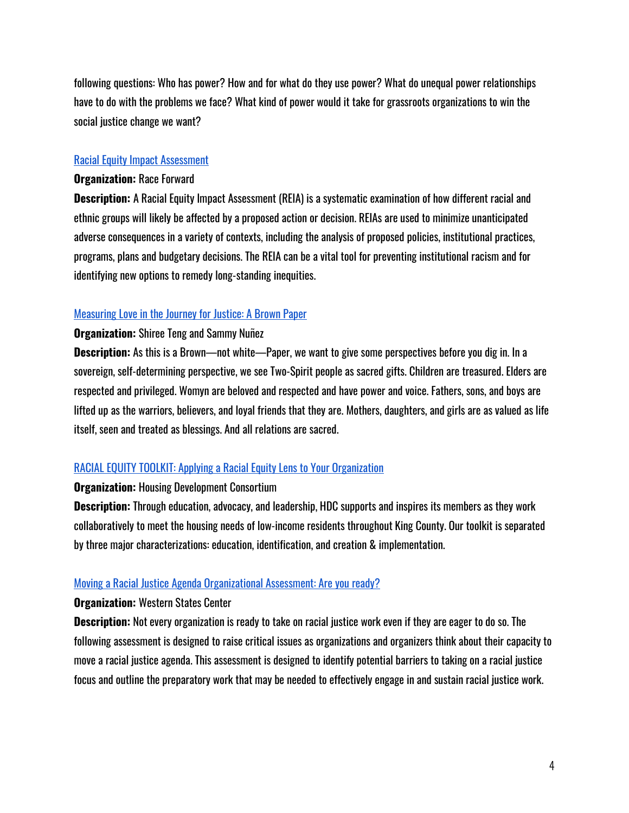following questions: Who has power? How and for what do they use power? What do unequal power relationships have to do with the problems we face? What kind of power would it take for grassroots organizations to win the social justice change we want?

#### [Racial Equity Impact Assessment](https://www.raceforward.org/sites/default/files/RacialJusticeImpactAssessment_v5.pdf)

#### **Organization:** Race Forward

**Description:** A Racial Equity Impact Assessment (REIA) is a systematic examination of how different racial and ethnic groups will likely be affected by a proposed action or decision. REIAs are used to minimize unanticipated adverse consequences in a variety of contexts, including the analysis of proposed policies, institutional practices, programs, plans and budgetary decisions. The REIA can be a vital tool for preventing institutional racism and for identifying new options to remedy long-standing inequities.

#### [Measuring Love in the Journey for Justice: A Brown Paper](https://latinocf.org/wp-content/uploads/2019/07/Shiree-Teng-Measuring-Love.pdf)

#### **Organization:** Shiree Teng and Sammy Nuñez

**Description:** As this is a Brown—not white—Paper, we want to give some perspectives before you dig in. In a sovereign, self-determining perspective, we see Two-Spirit people as sacred gifts. Children are treasured. Elders are respected and privileged. Womyn are beloved and respected and have power and voice. Fathers, sons, and boys are lifted up as the warriors, believers, and loyal friends that they are. Mothers, daughters, and girls are as valued as life itself, seen and treated as blessings. And all relations are sacred.

#### [RACIAL EQUITY TOOLKIT: Applying a Racial Equity Lens to Your Organization](https://www.housingconsortium.org/wp-content/uploads/2016/11/Racial-Equity-Toolkit-Downloadable.pdf)

#### **Organization:** Housing Development Consortium

**Description:** Through education, advocacy, and leadership, HDC supports and inspires its members as they work collaboratively to meet the housing needs of low-income residents throughout King County. Our toolkit is separated by three major characterizations: education, identification, and creation & implementation.

#### [Moving a Racial Justice Agenda Organizational Assessment: Are you ready?](https://drive.google.com/file/d/1UpPhFnAjlxzAnGT39HcazbElqUjij47A/view)

#### **Organization:** Western States Center

**Description:** Not every organization is ready to take on racial justice work even if they are eager to do so. The following assessment is designed to raise critical issues as organizations and organizers think about their capacity to move a racial justice agenda. This assessment is designed to identify potential barriers to taking on a racial justice focus and outline the preparatory work that may be needed to effectively engage in and sustain racial justice work.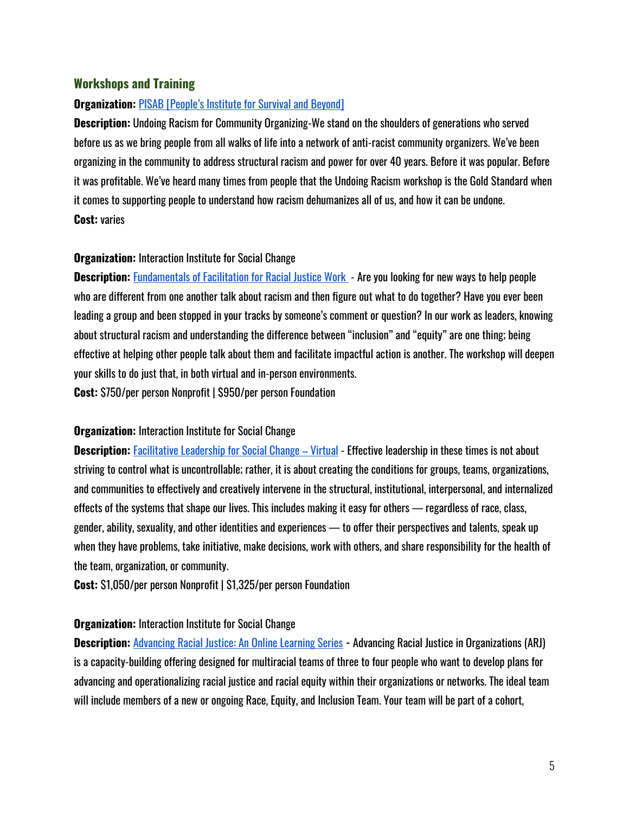### **Workshops and Training**

### **Organization: [PISAB \[People's Institute for Survival and Beyond\]](https://pisab.org/)**

**Description:** Undoing Racism for Community Organizing-We stand on the shoulders of generations who served before us as we bring people from all walks of life into a network of anti-racist community organizers. We've been organizing in the community to address structural racism and power for over 40 years. Before it was popular. Before it was profitable. We've heard many times from people that the Undoing Racism workshop is the Gold Standard when it comes to supporting people to understand how racism dehumanizes all of us, and how it can be undone. **Cost:** varies

### **Organization:** Interaction Institute for Social Change

**Description:** [Fundamentals of Facilitation for Racial Justice Work](https://interactioninstitute.org/training/fundamentals-of-facilitation-for-racial-justice-work/) - Are you looking for new ways to help people who are different from one another talk about racism and then figure out what to do together? Have you ever been leading a group and been stopped in your tracks by someone's comment or question? In our work as leaders, knowing about structural racism and understanding the difference between "inclusion" and "equity" are one thing; being effective at helping other people talk about them and facilitate impactful action is another. The workshop will deepen your skills to do just that, in both virtual and in-person environments. **Cost:** \$750/per person Nonprofit | \$950/per person Foundation

### **Organization:** Interaction Institute for Social Change

**Description:** [Facilitative Leadership for Social Change](https://interactioninstitute.org/training/facilitative-leadership-for-social-change-virtual/) – Virtual - Effective leadership in these times is not about striving to control what is uncontrollable; rather, it is about creating the conditions for groups, teams, organizations, and communities to effectively and creatively intervene in the structural, institutional, interpersonal, and internalized effects of the systems that shape our lives. This includes making it easy for others — regardless of race, class, gender, ability, sexuality, and other identities and experiences — to offer their perspectives and talents, speak up when they have problems, take initiative, make decisions, work with others, and share responsibility for the health of the team, organization, or community.

**Cost:** \$1,050/per person Nonprofit | \$1,325/per person Foundation

### **Organization:** Interaction Institute for Social Change

**Description:** [Advancing Racial Justice: An Online Learning Series](https://interactioninstitute.org/training/arjonline/) **-** Advancing Racial Justice in Organizations (ARJ) is a capacity-building offering designed for multiracial teams of three to four people who want to develop plans for advancing and operationalizing racial justice and racial equity within their organizations or networks. The ideal team will include members of a new or ongoing Race, Equity, and Inclusion Team. Your team will be part of a cohort,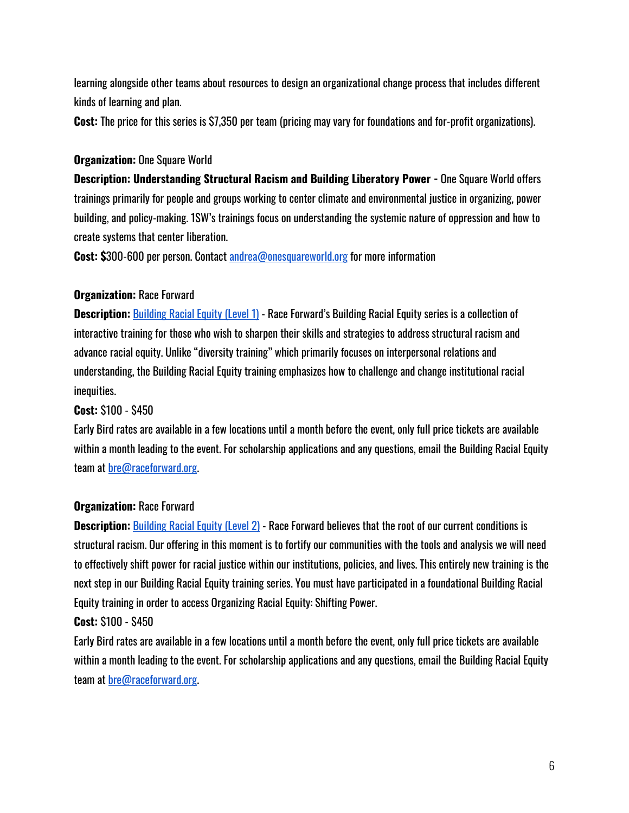learning alongside other teams about resources to design an organizational change process that includes different kinds of learning and plan.

**Cost:** The price for this series is \$7,350 per team (pricing may vary for foundations and for-profit organizations).

### **Organization:** One Square World

**Description: Understanding Structural Racism and Building Liberatory Power -** One Square World offers trainings primarily for people and groups working to center climate and environmental justice in organizing, power building, and policy-making. 1SW's trainings focus on understanding the systemic nature of oppression and how to create systems that center liberation.

**Cost: \$**300-600 per person. Contact [andrea@onesquareworld.org](mailto:andrea@onesquareworld.org) for more information

### **Organization:** Race Forward

**Description:** [Building Racial Equity \(Level 1\)](https://www.raceforward.org/trainings) - Race Forward's Building Racial Equity series is a collection of interactive training for those who wish to sharpen their skills and strategies to address structural racism and advance racial equity. Unlike "diversity training" which primarily focuses on interpersonal relations and understanding, the Building Racial Equity training emphasizes how to challenge and change institutional racial inequities.

### **Cost:** \$100 - \$450

Early Bird rates are available in a few locations until a month before the event, only full price tickets are available within a month leading to the event. For scholarship applications and any questions, email the Building Racial Equity team at **bre@raceforward.org**.

### **Organization:** Race Forward

**Description:** [Building Racial Equity \(Level 2\)](https://www.raceforward.org/trainings) - Race Forward believes that the root of our current conditions is structural racism. Our offering in this moment is to fortify our communities with the tools and analysis we will need to effectively shift power for racial justice within our institutions, policies, and lives. This entirely new training is the next step in our Building Racial Equity training series. You must have participated in a foundational Building Racial Equity training in order to access Organizing Racial Equity: Shifting Power.

## **Cost:** \$100 - \$450

Early Bird rates are available in a few locations until a month before the event, only full price tickets are available within a month leading to the event. For scholarship applications and any questions, email the Building Racial Equity team at [bre@raceforward.org.](mailto:bre@raceforward.org)